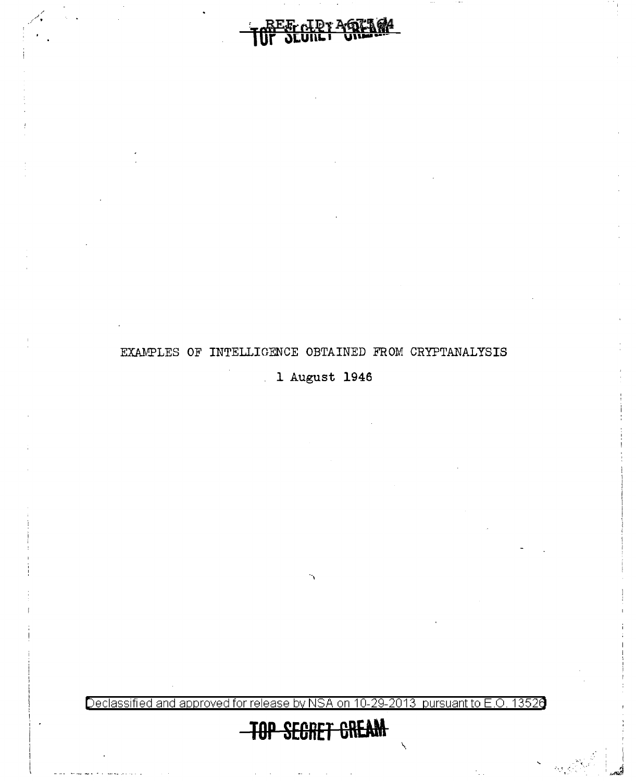

:· •• ~ **<sup>1</sup>**< .

Declassified and approved for release by NSA on 10-29-2013 pursuant to E.O. 13526

**1 August 1946** 

<u>Dr AGTAGA</u>

## EXAMPLES OF INTELLIGENCE OBTAINED FROM CRYPTANALYSIS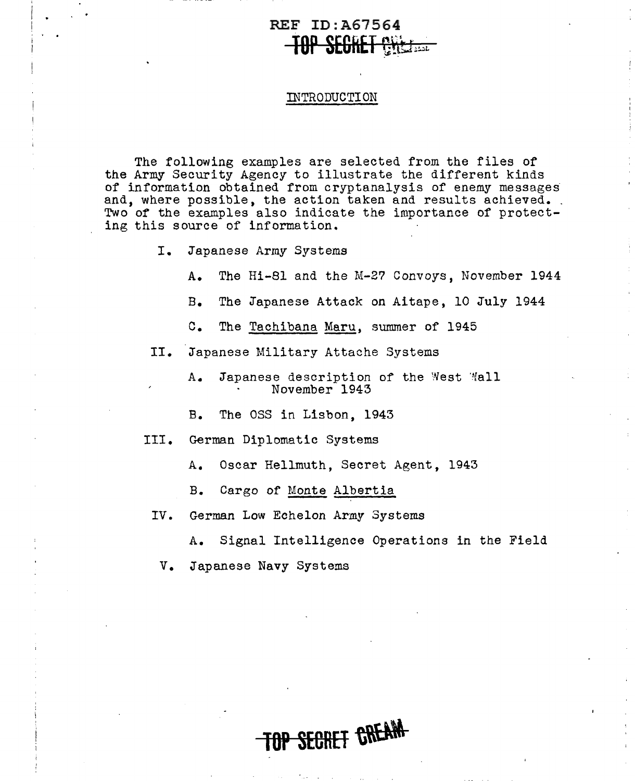## REF ID:A67564  $\frac{1}{2}$  and  $\frac{1}{2}$

#### INTRODUCTION

The following examples are selected from the files of the Army Security Agency to illustrate the different kinds of information obtained from cryptanalysis of enemy messages and, where possible, the action taken and results achieved.. Two of the examples also indicate the importance of protecting this source of information.

- I. Japanese Army Systems
	- A. The Hi-81 and the M-2? Convoys, November 1944
	- B. The Japanese Attack on Aitape, 10 July 1944
	- C. The <u>Tachibana Maru</u>, summer of 1945<br>Japanese Military Attache Systems
- II.
	- A. Japanese description of the West Wall November 1943
	- B. The OSS in Lisbon, 1943
- III. German Diplomatic Systems
	- A. Oscar Hellmuth, Secret Agent, 1943
	- B. Cargo of Monte Albertia
- IV. German Low Echelon Army Systems
	- A. Signal Intelligence Operations in the Field

SECRET CREAM-

V. Japanese Navy Systems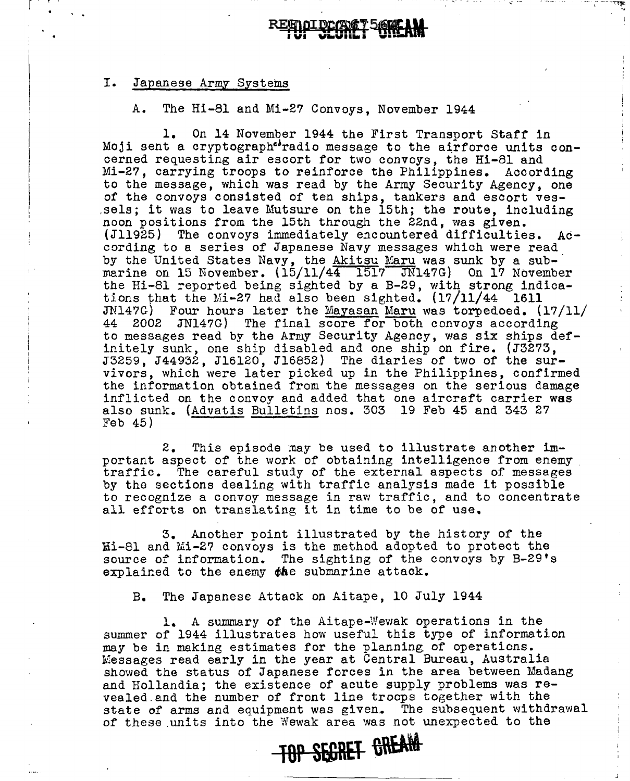# r ' .  $\blacksquare$

·.,

## I. Japanese Army Systems

A. The Hi-81 and Mi-2? Convoys, November 1944

1. On 14 November 1944 the First Transport Staff in Moji sent a cryptograph<sup>eb</sup>radio message to the airforce units concerned requesting air escort for two convoys, the Hi-81 and Mi-2?, carrying troops to reinforce the Philippines. According to the message, which was read by the Army Security Agency, one of the convoys consisted of ten ships, tankers and escort ves- .sels; it was to leave Mutsure on the 15th; the route, including noon positions from the 15th through the 22nd, was given. (Jll925) The convoys immediately encountered difficulties. According to a series of Japanese Navy messages which were read by the United States Navy, the Akitsu Maru was sunk by a submarine on 15 November.  $(15/11/44 \quad 1517 \quad \overline{J}N147G)$  On 17 November the Hi-81 reported being sighted by a B-29, with strong indications that the Mi-2? had also been sighted. (17/11/44 1611 JN147G) Four hours later the Mayasan Maru was torpedoed.  $(17/11/11)$ 44 2002 JN147G) The final score for both convoys according to messages read by the Army Security Agency, was six ships definitely sunk, one ship disabled and one ship on fire. (J32?3, J3259, J44932, Jl6120, Jl6852) The diaries of two of the survivors, which were later picked up in the Philippines, confirmed the information obtained from the messages on the serious damage inflicted on the convoy and added that one aircraft carrier was also sunk. (Advatis Bulletins nos. 303 19 Feb 45 and 343 27 Feb 45)

2. This episode may be used to illustrate another important aspect of the work of obtaining intelligence from enemy . traffic. The careful study of the external aspects of messages by the sections dealing with traffic analysis made it possible to recognize a convoy message in raw traffic, and to concentrate all efforts on translating it in time to be of use.

3. Another point illustrated by the history of the Mi-81 and Mi-2? convoys is the method adopted to protect the source of information. The sighting of the convoys by B-29's explained to the enemy  $phi$  submarine attack.

B. The Japanese Attack on Aitape, 10 July 1944

1. A summary of the Aitape-Wewak operations in the summer of 1944 illustrates how useful this type of information may be in making estimates for the planning. of operations. Messages read early in the year at Central Bureau, Australia showed the status *ot* Japanese forces in the area between Madang and Hollandia; the existence of acute supply problems was revealed .and the number of front line troops together with the state of arms and equipment was given. The subsequent withdrawal of these units into the Wewak area was not unexpected to the

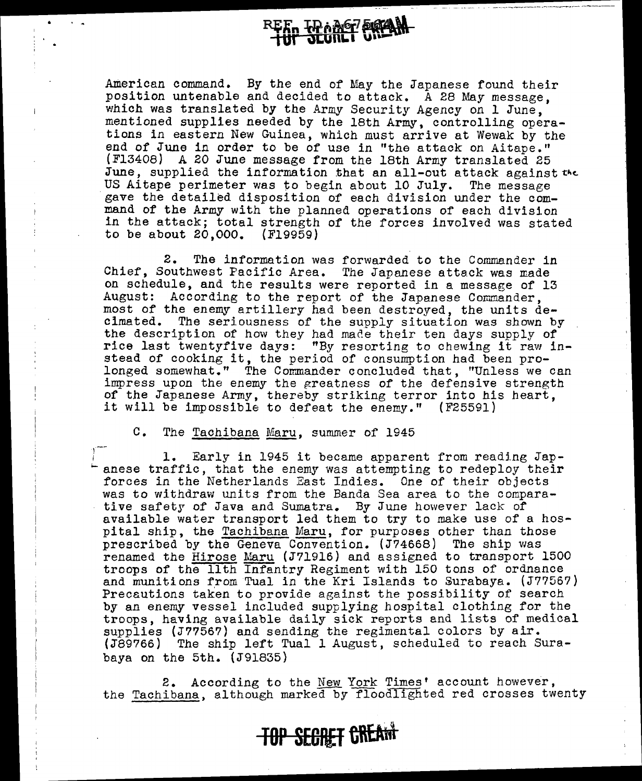**HARGE SKAN** 

-·---------------··----------- -----

American command. By the end of May the Japanese found their position untenable and decided to attack. A 28 May message, which was translated by the Army Security Agency on 1 June, mentioned supplies needed by the 18th Army, controlling operations in eastern New Guinea, which must arrive at Wewak by the end of June in order to be of use in "the attack *on* Aitape." (Fl3408) A 20 June message from the 18th Army translated 25 June, supplied the information that an all-out attack against the US Aitape perimeter was to begin about 10 July. The message gave the detailed disposition of each division under the command of the Army with the planned operations of each division in the attack; total strength of the forces involved was stated to be about 20,000. (Fl9959)

2. The information was forwarded to the Commander in Chief, Southwest Pacific Area. The Japanese attack was made on schedule, and the results were reported in a message of 13 August: According to the report of the Japanese Commander, most of the enemy artillery had been destroyed, the units decimated. The seriousness of the supply situation was shown by the description of how they had made their ten days supply of rice last twentyfive days: "By resorting to chewing it raw instead of cooking it, the period of consumption had been prolonged somewhat." The Commander concluded that, "Unless we can impress upon the enemy the greatness of the defensive strength of the Japanese Army, thereby striking terror into his heart, it will be impossible to defeat the enemy." (F25591)

c. The Tachibana Maru, summer of 1945

1

1. Early in 1945 it became apparent from reading Japanese traffic, that the enemy was attempting to redeploy their forces in the Netherlands East Indies. One of their objects was to withdraw units from the Banda Sea area to the comparative safety of Java and Sumatra. By June however lack of available water transport led them to try to make use of a hospital ship, the Tachibana Maru, for purposes other than those prescribed by the Geneva Convention. (J?4668) The ship was renamed the Hirose Maru (J71916) and assigned to transport 1500 troops of the 11th Infantry Regiment with 150 tons of ordnance and munitions from Tual in the Kri Islands to Surabaya. (J??56?) Precautions taken to provide against the possibility of search by an enemy vessel included supplying hospital clothing for the troops, having available daily sick reports and lists of medical supplies (J7?56?) and sending the regimental colors by air.  $(J89766)$  The ship left Tual 1 August, scheduled to reach Surabaya on the 5th. (J91835)

2. According to the New York Times' account however, the Tachibana, although marked by floodlighted red crosses twenty

**TOP SECRET CREAM**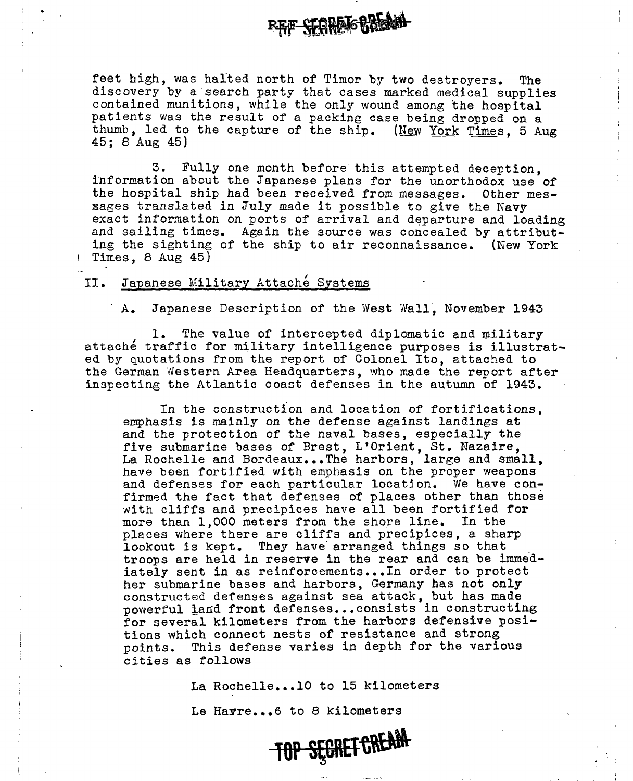feet high, was halted north of Timor by two destrovers. The discovery by a·search party that cases marked medical supplies contained munitions, while the only wound among the hospital patients was the result or a packing case being dropped on a thumb, led to the capture of the ship. (New York Times, 5 Aug 45; 8 Aug 45)

**BEFF SEGREAGREAM** 

3. Fully one month before this attempted deception, information about the Japanese plans for the unorthodox use of the hospital ship had been received from messages. Other messages translated in July made it possible to give the Navy exact information on ports of arrival and departure and loading and sailing times. Again the source was concealed by attributing the sighting of the ship to air reconnaissance. (New York Times, 8 Aug 45)

### II. Japanese Military Attache Systems

A. Japanese Description of the West Wall, November 1943

1. The value of intercepted diplomatic and military attaché traffic for military intelligence purposes is illustrated by quotations from the report of Colonel Ito, attached to the German Western Area Headquarters, who made the report after inspecting the Atlantic coast defenses in the autumn of 1943.

In the construction and location of fortifications, emphasis is mainly on the defense against landings at and the protection of the naval bases, especially the five submarine bases of Brest, L'Orient, St. Nazaire, La Rochelle and Bordeaux...The harbors, large and small, have been fortified with emphasis on the proper weapons and defenses for each particular location. We have confirmed the fact that defenses of places other than those with cliffs and precipices have all been fortified for more than 1,000 meters from the shore line. In the places where there are cliffs and precipices, a sharp lookout is kept. They have arranged things so that troops are held in reserve in the rear and can be immediately sent in as reinforcements...In order to protect her submarine bases and harbors, Germany has not only constructed defenses against sea attack, but has made powerful land front defenses...consists in constructing for several kilometers from the harbors defensive positions which connect nests of resistance and strong points. This defense varies in depth for the various cities as follows

La Rochelle...10 to 15 kilometers

Le Havre...6 to 8 kilometers

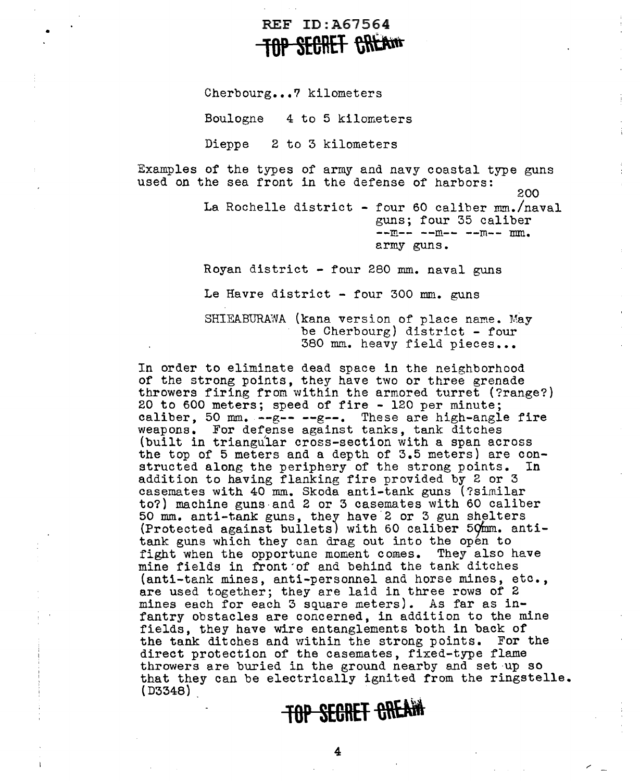## REF ID:A67564 **SECRET CREAM**

Cherbourg...7 kilometers

•

Boulogne 4 to 5 kilometers

Dieppe 2 to 3 kilometers

Examples of the types of army and navy coastal type guns used on the sea front in the defense of harbors: 200 La Rochelle district - four 60 caliber mm./naval guns; four 35 caliber  $-m-m-1$  -- $m-m-1$ army guns.

Royan district - four 280 mm. naval guns

Le Havre district - four 300 mm. guns

SHIEABURAWA (kana version of place name. May be Cherbourg) district - four 380 mm. heavy field pieces •••

In order to eliminate dead space in the neighborhood of the strong points, they have two or three grenade throwers firing from within the armored turret (?range?) 20 to 600 meters; speed of fire - 120 per minute; caliber, 50 mm. --g-- --g--. These are high-angle fire weapons. For defense against tanks, tank ditches (built in triangular cross-section with a span across the top of 5 meters and a depth of 3.5 meters} are constructed along the periphery of the strong points. In addition to having flanking fire provided by 2 or 3 casemates with 40 mm. Skoda anti-tank guns (?similar to?) machine guns·and 2 or 3 casemates with 60 caliber 50 mm. anti-tank guns, they have 2 or 3 gun shelters (Protected against bullets) with 60 caliber 50mm. antitank guns which they can drag out into the open to fight when the opportune moment comes. They also have mine fields in front·of and behind the tank ditches (anti-tank mines, anti-personnel and horse mines, etc., are used together; they are laid in three rows of 2 mines each for each 3 square meters). As far as infantry obstacles are concerned, in addition to the mine fields, they have wire entanglements both in back of the tank ditches and within the strong points. For the direct protection of the casemates, fixed-type flame throwers are buried in the ground nearby and set up so that they can be electrically ignited from the ringstelle.  $(D3348)$ 

## **TOP SECRET CREAM**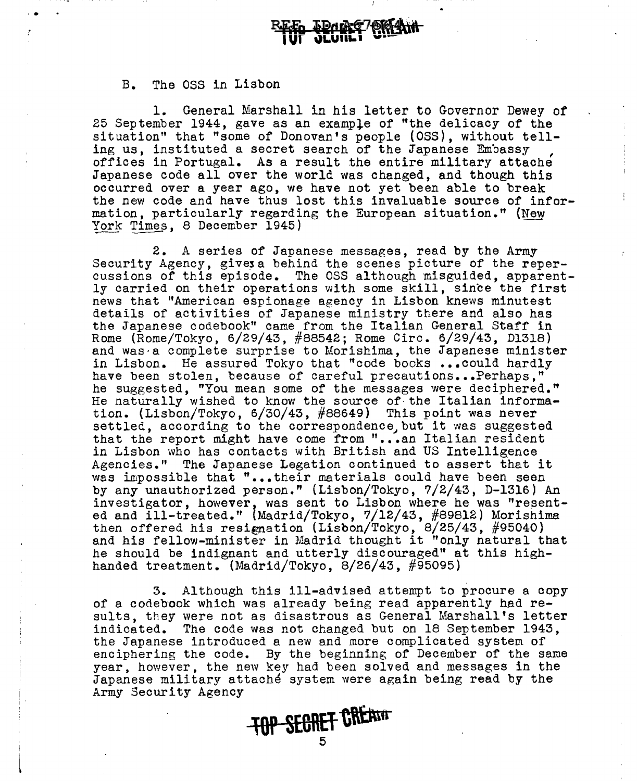#### B. The oss in Lisbon

' .

1. General Marshall in his letter to Governor Dewey of 25 September 1944, gave as an exampie of "the delicacy of the situation" that "some of Donovan's people (OSS), without telling us, instituted a secret search of the Japanese Embassy<br>offices in Portugal. As a result the entire military attache Japanese code all over the world was changed, and though this occurred over a year ago, we have not yet been able to break the new code and have thus lost this invaluable source of information, particularly regarding the European situation." (New York Times, 8 December 1945) Japanese code all over the world was changed, and though the occurred over a year ago, we have not yet been able to bread the new code and have thus lost this invaluable source of in mation, particularly regarding the Euro

2. A series of Japanese messages, read by the Army<br>Security Agency, gives a behind the scenes picture of the reper-<br>cussions of this episode. The OSS although misguided, apparently carried on their operations with some skill, since the first news that "American espionage agency in Lisbon knews minutest details of activities of Japanese ministry there and also has the Japanese codebook" came from the Italian General Staff in Rome (Rome/Tokyo, 6/29/43, #88542; Rome Circ. 6/29/43, Dl318) and was a complete surprise to Morishima, the Japanese minister in Lisbon. He assured Tokyo that "code books ••• could hardly have been stolen, because of careful precautions...Perhaps," he suggested, "You mean some of the messages were deciphered." He naturally wished to know the source of the Italian information. (Lisbon/Tokyo, 6/30/43, #88649) This point was never settled, according to the correspondence, but it was suggested that the report might have come from "...an Italian resident in Lisbon who has contacts with British and US Intelligence Agencies." The Japanese Legation continued to assert that it was impossible that "...their materials could have been seen by any unauthorized person." (Lisbon/Tokyo, ?/2/43, D-1316) An investigator, however, was sent to Lisbon where he was "resented and ill-treated." \Madrid/Tokyo, ?/12/43, #89812) Morishima then offered his resignation (Lisbon/Tokyo, 8/25/43, #95040) and his fellow-minister in Madrid thought it "only natural that he should be indignant and utterly discouraged" at this highhanded treatment. (Madrid/Tokyo, 8/26/43, #95095)

3. Although this ill-advised attempt to procure a copy of a codebook which was already being read apparently had results, they were not as disastrous as General Marshall's letter indicated. The code was not changed but on 18 September 1943, the Japanese introduced a new and more complicated system of enciphering the code. By the beginning of December of the same year, however, the new key had been solved and messages in the Japanese military attache system were again being read by the Army Security Agency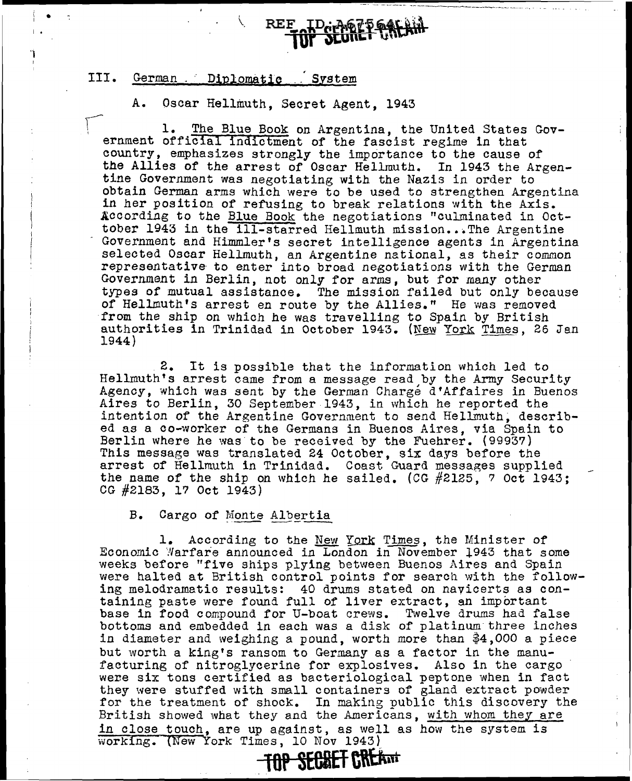## III. German . Diplomatic . System

i • I  $\cdot$   $\cdot$ 

'l I

A. Oscar Hellmuth, Secret Agent, 1943

**REF** 

1. The Blue Book on Argentina, the United States Government official indictment of the fascist regime in that country, emphasizes strongly the importance to the cause of<br>the Allies of the arrest of Oscar Hellmuth. In 1943 the Argenthe Allies of the arrest of Oscar Hellmuth. tine Government was negotiating with the Nazis in order to obtain German arms which were to be used to strengthen Argentina in her position of refusing to break relations with the Axis. According to the Blue Book the negotiations "culminated in Octtober 1943 in the ill-starred Hellmuth mission...The Argentine Government and Himmler's secret intelligence agents in Argentina selected Oscar Hellmuth, an Argentine national, as their common representative to enter into broad negotiations with the German Government in Berlin, not only for arms, but for many other types of mutual assistance. The mission failed but only because of Hellmuth's arrest en route by the Allies." He was removed from the ship on which he was travelling to Spain by British authorities in Trinidad in October 1943. (New York Times, 26 Jan 1944)

2. It is possible that the information which led to Hellmuth's arrest came from a message read by the Army Security Agency, which was sent by the German Charge d'Affaires in Buenos Aires to Berlin, 30 September 1943, in which he reported the intention of the Argentine Government to send Hellmuth, described as a co-worker of the Germans in Buenos Aires, via Spain to Berlin where he was to be received by the Fuehrer. {99937) This message was translated 24 October, six days before the arrest of Hellmuth in Trinidad. Coast Guard messages supplied the name of the ship on which he sailed. (CG #2125, ? Oct 1943; CG #2183, l? Oct 1943)

B. Cargo of Monte Albertia<br>1. According to the New York Times, the Minister of Economic "Narfare announced in London in November l943 that some weeks before "five ships plying between Buenos Aires and Spain were halted at British control points for search with the following melodramatic results: 40 drums stated on navicerts as containing paste were found full of liver extract, an important base in food compound for U-boat crews. Twelve drums had false bottoms and embedded in each was a disk of platinum three inches in diameter and weighing a pound, worth more than \$4,000 a piece but worth a king's ransom to Germany as a factor in the manufacturing of nitroglycerine for explosives. Also in the cargo were six tons certified as bacteriological peptone when in fact they were stuffed with small containers of gland extract powder for the treatment of shock. In making public this discovery the British showed what they and the Americans, with whom they are in close touch, are up against, as well as how the system is working. (New York Times, 10 Nov 1943)

**lOP SE6BET c\\a,,i**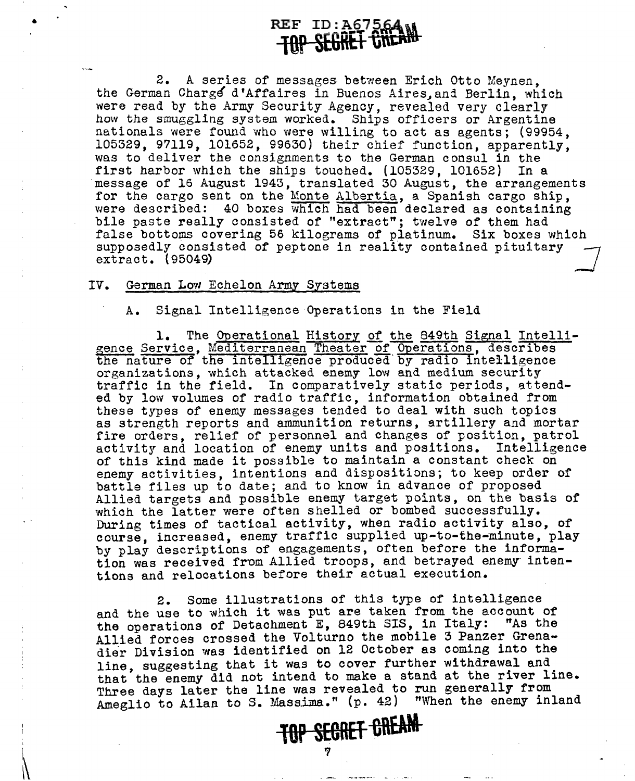2. A series of messages between Erich Otto Meynen, the German Charge d'Affaires in Buenos Aires, and Berlin, which were read by the Army Security Agency, revealed very clearly how the smuggling system worked. Ships officers or Argentine nationals were found who were willing to act as agents; (99954, 105329, 97119, 101652, 99630) their chief function, apparently, was to deliver the consignments to the German consul in the first harbor which the ships touched. (105329, 101652) In a ·message of 16 August 1943, translated 30 August, the arrangements for the cargo sent on the Monte Albertia, a Spanish cargo ship, were described: 40 boxes which had been declared as containing bile paste really consisted of "extract"; twelve of them had false bottoms covering 56 kilograms of platinum. Six boxes which supposedly consisted of peptone in reality contained pituitary extract. (95049)

#### IV. German Low Echelon Army Systems

•

I

 $\mathbf{u}$ 

A. Signal Intelligence Operations in the Field

1. The Operational History of the 849th Signal Intelligence Service, Mediterranean Theater of Operations, describes the nature of the intelligence produced by radio intelligence organizations, which attacked enemy low and medium security organizations, which attacked enemy low and medium security<br>traffic in the field. In comparatively static periods, attended by low volumes of radio traffic, information obtained from these types of enemy messages tended to deal with such topics as strength reports and ammunition returns, artillery and mortar fire orders, relief of personnel and changes of position, patrol activity and location of enemy units and positions. Intelligence of this kind made it possible to maintain a constant check on enemy activities, intentions and dispositions; to keep order of battle files up to date; and to know in advance of proposed Allied targets and possible enemy target points, on the basis of which the latter were often shelled or bombed successfully. During times of tactical activity, when radio activity also, of course, increased, enemy traffic supplied up-to-the-minute, play by play descriptions of engagements, often before the information was received from Allied troops, and betrayed enemy intentions and relocations before their actual execution.

2. Some illustrations of this type of intelligence and the use to which it was put are taken from the account of the operations of Detachment E. 849th SIS, in Italy: "As the the operations of Detachment E, 849th SIS, in Italy: Allied forces crossed the Volturno the mobile 3 Panzer Grenadier Division was identified on 12 October as coming into the line, suggesting that it was to cover further withdrawal and that the enemy did not intend to make a stand at the river line. Three days later the line was revealed to run generally from Ameglio to Ailan to S. Massima." (p. 42) "When the enemy inland

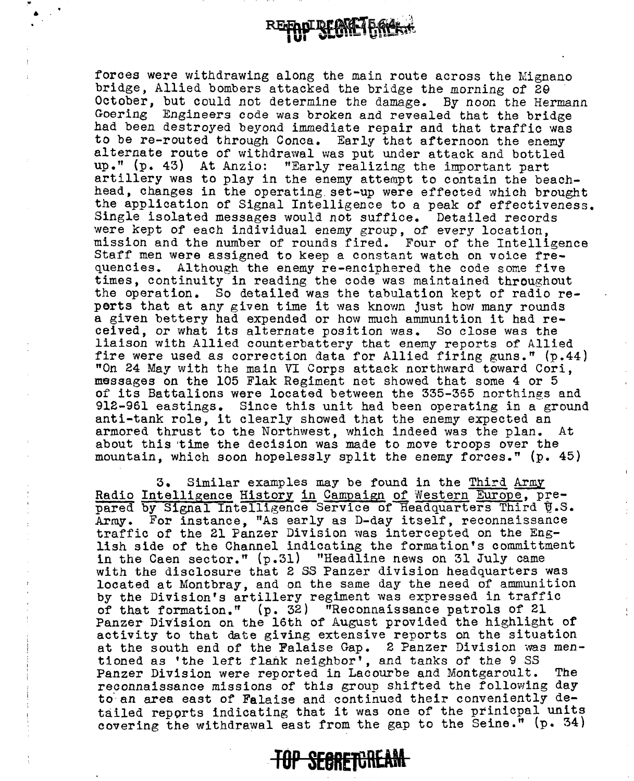$\bullet$  .

forces were withdrawing along the main route across the Mignano bridge, Allied bombers attacked the bridge the morning of 29 October, but could not determine the damage. By noon the Hermann Goering Engineers code was broken and revealed that the bridge had been destroyed beyond immediate repair and that traffic was to be re-routed through Conca. Early that afternoon the enemy alternate route of withdrawal was put under attack and bottled up." (p. 43) At Anzio: "Early realizing the important part artillery was to play in the enemy attempt to contain the beachhead, changes in the operating. set-up were effected which brought the application of Signal Intelligence to a peak of effectiveness. Single isolated messages would not suffice. Detailed records were kept of each individual enemy group, of every location, mission and the number of rounds fired. Four of the Intelligence Staff men were assigned to keep a constant watch on voice frequencies. Although the enemy re-enciphered the code some five times, continuity in reading the code was maintained throughout the operation. So detailed was the tabulation kept of radio reperts that at any given time it was known just how many rounds a given bettery had expended or how much ammunition it had received, or what its alternate position was. So close was the liaison with Allied counterbattery that enemy reports of Allied fire were used as correction data for Allied firing guns." (p.44) "On 24 May with the main VI Corps attack northward toward Cori, messages on the 105 Flak Regiment net showed that some 4 or 5 of its Battalions were located between the 335-355 northings and 912-961 eastings. Since this unit had been operating in a ground anti-tank role, it clearly showed that the enemy expected an armored thrust to the Northwest, which indeed was the plan. At about this time the decision was made to move troops over the mountain, which soon hopelessly split the enemy forces." (p. 45)

3. Similar examples may be found in the Third Army Radio Intelligence History in Campaign of Western Europe, prepared by Signal Intelligence Service of Headquarters Third U.S. Army. For instance, "As early as D-day itself, reconnaissance traffic of the 21 Panzer Division was intercepted on the English side of' the Channel indicating the formation's committment in the Caen sector." (p.31) "Headline news on 31 July came with the disclosure that 2 SS Panzer division headquarters was located at Montbray, and on the same day the need of ammunition by the Division's artillery regiment was expressed in traffic of that formation." (p. 32) "Reconnaissance patrols of 21 Panzer Division on the 16th of August provided the highlight of activity to that date giving extensive reports on the situation at the south end of the Falaise Gap. 2 Panzer Division was *men*tioned as 'the left flank neighbor', and tanks of the 9 SS Panzer Division were reported in Lacourbe and Montgaroult. The reconnaissance missions of this group shifted the following day to an area east of Falaise and continued their conveniently detailed reports indicating that it was one of the prinicpal units covering the withdrawal east from the gap to the Seine." (p. 34)

**TOP SEGRETUREAM**